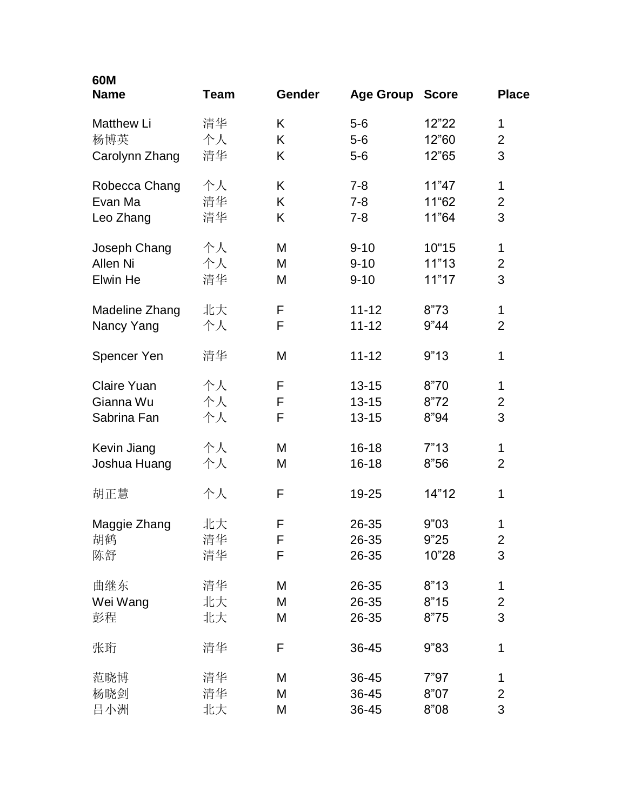| 60M<br><b>Name</b> | <b>Team</b> | <b>Gender</b> | <b>Age Group</b> | <b>Score</b> | <b>Place</b>   |
|--------------------|-------------|---------------|------------------|--------------|----------------|
| <b>Matthew Li</b>  | 清华          | K             | $5-6$            | 12"22        | 1              |
| 杨博英                | 个人          | Κ             | $5-6$            | 12"60        | $\overline{2}$ |
| Carolynn Zhang     | 清华          | K             | $5-6$            | 12"65        | 3              |
| Robecca Chang      | 个人          | K             | $7 - 8$          | 11"47        | 1              |
| Evan Ma            | 清华          | K             | $7 - 8$          | 11"62        | $\overline{2}$ |
| Leo Zhang          | 清华          | Κ             | $7 - 8$          | 11"64        | 3              |
| Joseph Chang       | 个人          | M             | $9 - 10$         | 10"15        | 1              |
| Allen Ni           | 个人          | M             | $9 - 10$         | 11"13        | $\mathbf{2}$   |
| Elwin He           | 清华          | M             | $9 - 10$         | 11"17        | 3              |
| Madeline Zhang     | 北大          | F             | $11 - 12$        | 8"73         | $\mathbf 1$    |
| Nancy Yang         | 个人          | F             | $11 - 12$        | 9"44         | $\overline{2}$ |
| Spencer Yen        | 清华          | M             | $11 - 12$        | 9"13         | 1              |
| <b>Claire Yuan</b> | 个人          | F             | $13 - 15$        | 8"70         | 1              |
| Gianna Wu          | 个人          | F             | $13 - 15$        | 8"72         | $\overline{2}$ |
| Sabrina Fan        | 个人          | F             | $13 - 15$        | 8"94         | 3              |
| Kevin Jiang        | 个人          | M             | $16 - 18$        | 7"13         | $\mathbf 1$    |
| Joshua Huang       | 个人          | M             | $16 - 18$        | 8"56         | $\overline{2}$ |
| 胡正慧                | 个人          | F             | 19-25            | 14"12        | 1              |
| Maggie Zhang       | 北大          | F             | 26-35            | 9"03         | 1              |
| 胡鹤                 | 清华          | F             | 26-35            | 9"25         | $\overline{2}$ |
| 陈舒                 | 清华          | F             | 26-35            | 10"28        | 3              |
| 曲继东                | 清华          | M             | 26-35            | 8"13         | $\mathbf 1$    |
| Wei Wang           | 北大          | M             | 26-35            | 8"15         | $\mathbf{2}$   |
| 彭程                 | 北大          | M             | 26-35            | 8"75         | 3              |
| 张珩                 | 清华          | F             | 36-45            | 9"83         | 1              |
| 范晓博                | 清华          | M             | 36-45            | 7"97         | $\mathbf 1$    |
| 杨晓剑                | 清华          | M             | 36-45            | 8"07         | $\overline{2}$ |
| 昌小洲                | 北大          | M             | 36-45            | 8"08         | 3              |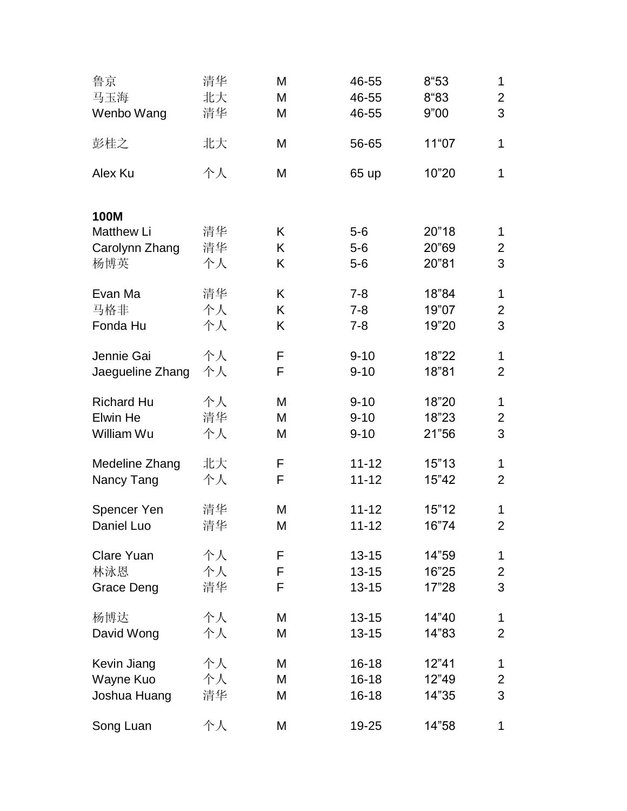| 鲁京                               | 清华 | M | 46-55     | 8"53  | 1              |
|----------------------------------|----|---|-----------|-------|----------------|
| 马玉海                              | 北大 | M | 46-55     | 8"83  | $\overline{2}$ |
| Wenbo Wang                       | 清华 | M | 46-55     | 9"00  | 3              |
| 彭桂之                              | 北大 | M | 56-65     | 11"07 | $\mathbf{1}$   |
| Alex Ku                          | 个人 | M | 65 up     | 10"20 | $\mathbf{1}$   |
| <b>100M</b><br><b>Matthew Li</b> | 清华 | Κ | $5-6$     | 20"18 | $\mathbf 1$    |
| Carolynn Zhang                   | 清华 | Κ | $5-6$     | 20"69 | $\overline{2}$ |
| 杨博英                              | 个人 | Κ | $5-6$     | 20"81 | 3              |
| Evan Ma                          | 清华 | Κ | $7 - 8$   | 18"84 | $\mathbf{1}$   |
| 马格非                              | 个人 | Κ | $7 - 8$   | 19"07 | $\overline{2}$ |
| Fonda Hu                         | 个人 | Κ | $7 - 8$   | 19"20 | 3              |
| Jennie Gai                       | 个人 | F | $9 - 10$  | 18"22 | $\mathbf{1}$   |
| Jaegueline Zhang                 | 个人 | F | $9 - 10$  | 18"81 | $\overline{2}$ |
| <b>Richard Hu</b>                | 个人 | M | $9 - 10$  | 18"20 | $\mathbf{1}$   |
| Elwin He                         | 清华 | M | $9 - 10$  | 18"23 | $\overline{2}$ |
| William Wu                       | 个人 | M | $9 - 10$  | 21"56 | 3              |
| Medeline Zhang                   | 北大 | F | $11 - 12$ | 15"13 | 1              |
| Nancy Tang                       | 个人 | F | $11 - 12$ | 15"42 | $\overline{2}$ |
| Spencer Yen                      | 清华 | M | $11 - 12$ | 15"12 | 1              |
| Daniel Luo                       | 清华 | M | $11 - 12$ | 16"74 | $\overline{2}$ |
| <b>Clare Yuan</b>                | 个人 | F | $13 - 15$ | 14"59 | 1              |
| 林泳恩                              | 个人 | F | $13 - 15$ | 16"25 | $\overline{c}$ |
| Grace Deng                       | 清华 | F | $13 - 15$ | 17"28 | 3              |
| 杨博达                              | 个人 | М | $13 - 15$ | 14"40 | 1              |
| David Wong                       | 个人 | M | $13 - 15$ | 14"83 | $\overline{2}$ |
| Kevin Jiang                      | 个人 | М | $16 - 18$ | 12"41 | 1              |
| Wayne Kuo                        | 个人 | M | $16 - 18$ | 12"49 | $\overline{2}$ |
| Joshua Huang                     | 清华 | M | $16 - 18$ | 14"35 | 3              |
| Song Luan                        | 个人 | Μ | 19-25     | 14"58 | 1              |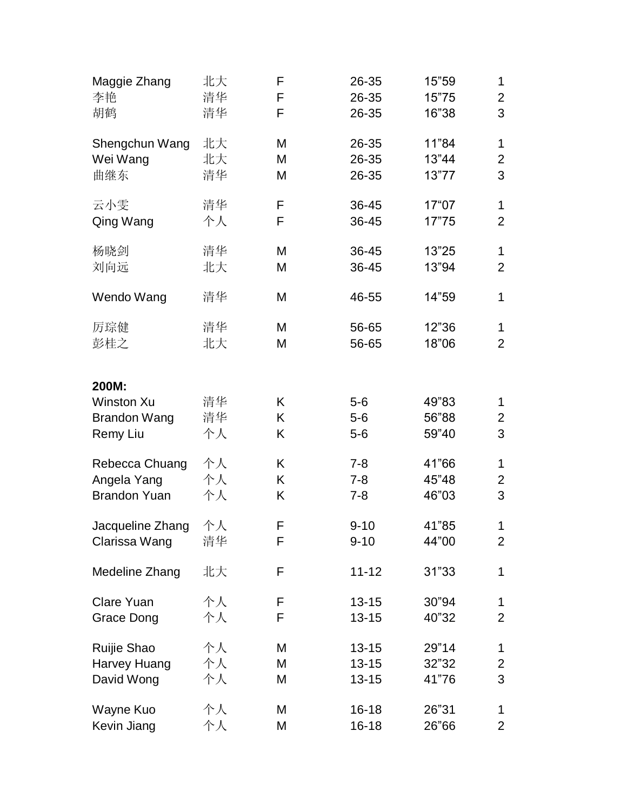| Maggie Zhang                                                  | 北大             | F           | 26-35                   | 15"59                   | 1              |
|---------------------------------------------------------------|----------------|-------------|-------------------------|-------------------------|----------------|
| 李艳                                                            | 清华             | F           | 26-35                   | 15"75                   | $\overline{2}$ |
| 胡鹤                                                            | 清华             | F           | 26-35                   | 16"38                   | 3              |
| Shengchun Wang                                                | 北大             | M           | 26-35                   | 11"84                   | 1              |
| Wei Wang                                                      | 北大             | M           | 26-35                   | 13"44                   | $\overline{2}$ |
| 曲继东                                                           | 清华             | M           | 26-35                   | 13"77                   | 3              |
| 云小雯                                                           | 清华             | F           | 36-45                   | 17"07                   | 1              |
| Qing Wang                                                     | 个人             | F           | 36-45                   | 17"75                   | $\overline{2}$ |
| 杨晓剑                                                           | 清华             | M           | 36-45                   | 13"25                   | $\mathbf 1$    |
| 刘向远                                                           | 北大             | M           | 36-45                   | 13"94                   | $\overline{2}$ |
| Wendo Wang                                                    | 清华             | M           | 46-55                   | 14"59                   | 1              |
| 厉琮健                                                           | 清华             | M           | 56-65                   | 12"36                   | 1              |
| 彭桂之                                                           | 北大             | M           | 56-65                   | 18"06                   | $\overline{2}$ |
| 200M:<br><b>Winston Xu</b><br><b>Brandon Wang</b><br>Remy Liu | 清华<br>清华<br>个人 | Κ<br>Κ<br>Κ | $5-6$<br>$5-6$<br>$5-6$ | 49"83<br>56"88<br>59"40 | 1<br>2<br>3    |
| Rebecca Chuang                                                | 个人             | Κ           | $7 - 8$                 | 41"66                   | 1              |
| Angela Yang                                                   | 个人             | Κ           | $7 - 8$                 | 45"48                   | $\overline{2}$ |
| <b>Brandon Yuan</b>                                           | 个人             | Κ           | $7 - 8$                 | 46"03                   | 3              |
| Jacqueline Zhang                                              | 个人             | F           | $9 - 10$                | 41"85                   | 1              |
| Clarissa Wang                                                 | 清华             | F           | $9 - 10$                | 44"00                   | $\overline{2}$ |
| Medeline Zhang                                                | 北大             | F           | $11 - 12$               | 31"33                   | 1              |
| <b>Clare Yuan</b>                                             | 个人             | F           | $13 - 15$               | 30"94                   | 1              |
| Grace Dong                                                    | 个人             | F           | $13 - 15$               | 40"32                   | $\overline{2}$ |
| Ruijie Shao                                                   | 个人             | M           | $13 - 15$               | 29"14                   | 1              |
| Harvey Huang                                                  | 个人             | M           | $13 - 15$               | 32"32                   | 2              |
| David Wong                                                    | 个人             | Μ           | $13 - 15$               | 41"76                   | 3              |
| Wayne Kuo                                                     | 个人             | M           | $16 - 18$               | 26"31                   | 1              |
| Kevin Jiang                                                   | 个人             | Μ           | $16 - 18$               | 26"66                   | $\overline{2}$ |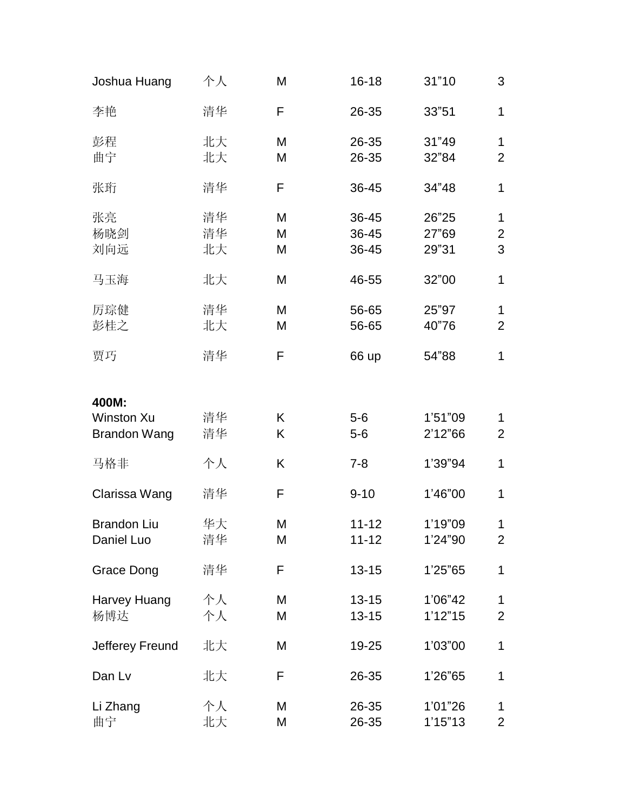| Joshua Huang        | 个人 | M | $16 - 18$ | 31"10   | 3              |
|---------------------|----|---|-----------|---------|----------------|
| 李艳                  | 清华 | F | 26-35     | 33"51   | $\mathbf{1}$   |
| 彭程                  | 北大 | M | 26-35     | 31"49   | 1              |
| 曲宁                  | 北大 | M | 26-35     | 32"84   | $\overline{2}$ |
| 张珩                  | 清华 | F | 36-45     | 34"48   | 1              |
| 张亮                  | 清华 | M | 36-45     | 26"25   | 1              |
| 杨晓剑                 | 清华 | M | 36-45     | 27"69   | $\overline{2}$ |
| 刘向远                 | 北大 | M | 36-45     | 29"31   | 3              |
| 马玉海                 | 北大 | M | 46-55     | 32"00   | 1              |
| 厉琮健                 | 清华 | M | 56-65     | 25"97   | $\mathbf{1}$   |
| 彭桂之                 | 北大 | M | 56-65     | 40"76   | $\overline{2}$ |
|                     |    |   |           |         |                |
| 贾巧                  | 清华 | F | 66 up     | 54"88   | $\mathbf{1}$   |
| 400M:               |    |   |           |         |                |
| <b>Winston Xu</b>   | 清华 | K | $5-6$     | 1'51"09 | 1              |
| <b>Brandon Wang</b> | 清华 | Κ | $5-6$     | 2'12"66 | $\overline{2}$ |
| 马格非                 | 个人 | Κ | $7 - 8$   | 1'39"94 | 1              |
|                     |    |   |           |         |                |
| Clarissa Wang       | 清华 | F | $9 - 10$  | 1'46"00 | $\mathbf{1}$   |
| <b>Brandon Liu</b>  | 华大 | M | $11 - 12$ | 1'19"09 | 1              |
| Daniel Luo          | 清华 | M | $11 - 12$ | 1'24"90 | $\overline{2}$ |
|                     |    |   |           |         |                |
| <b>Grace Dong</b>   | 清华 | F | $13 - 15$ | 1'25"65 | 1              |
| Harvey Huang        | 个人 | M | $13 - 15$ | 1'06"42 | 1              |
| 杨博达                 | 个人 | М | $13 - 15$ | 1'12"15 | $\overline{2}$ |
| Jefferey Freund     | 北大 | M | 19-25     | 1'03"00 | 1              |
| Dan Lv              | 北大 | F | 26-35     | 1'26"65 | $\mathbf{1}$   |
| Li Zhang            | 个人 | M | 26-35     | 1'01"26 | $\mathbf 1$    |
| 曲宁                  | 北大 | M | 26-35     | 1'15"13 | $\overline{2}$ |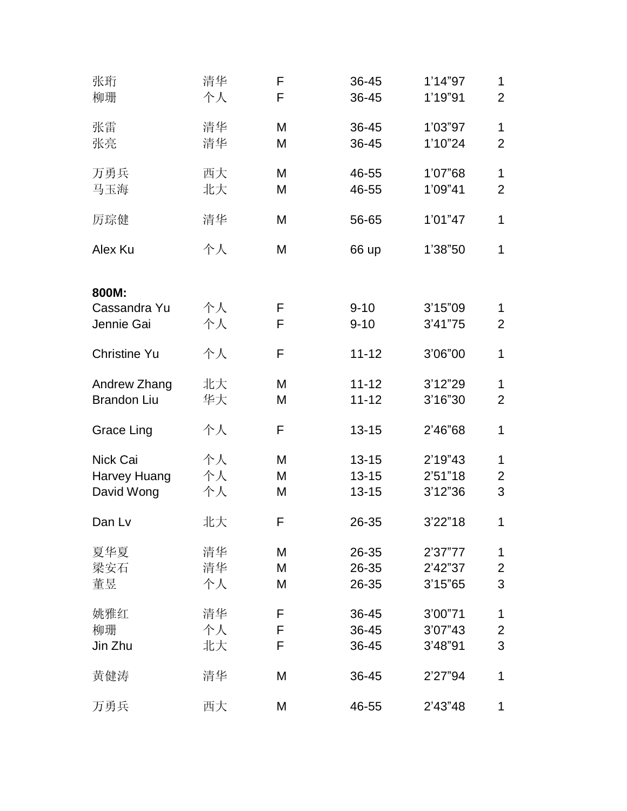| 张珩<br>柳珊                               | 清华<br>个人       | F<br>F      | 36-45<br>36-45                      | 1'14"97<br>1'19"91            | 1<br>$\overline{2}$            |
|----------------------------------------|----------------|-------------|-------------------------------------|-------------------------------|--------------------------------|
| 张雷<br>张亮                               | 清华<br>清华       | M<br>M      | 36-45<br>36-45                      | 1'03"97<br>1'10"24            | $\mathbf{1}$<br>$\overline{2}$ |
| 万勇兵<br>马玉海                             | 西大<br>北大       | M<br>M      | 46-55<br>46-55                      | 1'07"68<br>1'09"41            | 1<br>$\overline{2}$            |
| 厉琮健                                    | 清华             | M           | 56-65                               | 1'01"47                       | 1                              |
| Alex Ku                                | 个人             | M           | 66 up                               | 1'38"50                       | 1                              |
| 800M:<br>Cassandra Yu<br>Jennie Gai    | 个人<br>个人       | F<br>F      | $9 - 10$<br>$9 - 10$                | 3'15"09<br>3'41"75            | 1<br>$\overline{2}$            |
| <b>Christine Yu</b>                    | 个人             | F           | $11 - 12$                           | 3'06"00                       | 1                              |
| Andrew Zhang<br><b>Brandon Liu</b>     | 北大<br>华大       | M<br>M      | $11 - 12$<br>$11 - 12$              | 3'12"29<br>3'16"30            | 1<br>$\overline{2}$            |
| Grace Ling                             | 个人             | F           | $13 - 15$                           | 2'46"68                       | 1                              |
| Nick Cai<br>Harvey Huang<br>David Wong | 个人<br>个人<br>个人 | M<br>M<br>M | $13 - 15$<br>$13 - 15$<br>$13 - 15$ | 2'19"43<br>2'51"18<br>3'12"36 | 1<br>$\overline{2}$<br>3       |
| Dan Lv                                 | 北大             | F           | 26-35                               | 3'22"18                       | 1                              |
| 夏华夏<br>梁安石<br>董昱                       | 清华<br>清华<br>个人 | M<br>M<br>M | 26-35<br>26-35<br>26-35             | 2'37"77<br>2'42"37<br>3'15"65 | 1<br>$\overline{2}$<br>3       |
| 姚雅红<br>柳珊<br>Jin Zhu                   | 清华<br>个人<br>北大 | F<br>F<br>F | 36-45<br>36-45<br>36-45             | 3'00"71<br>3'07"43<br>3'48"91 | 1<br>2<br>3                    |
| 黄健涛                                    | 清华             | M           | 36-45                               | 2'27"94                       | 1                              |
| 万勇兵                                    | 西大             | M           | 46-55                               | 2'43"48                       | 1                              |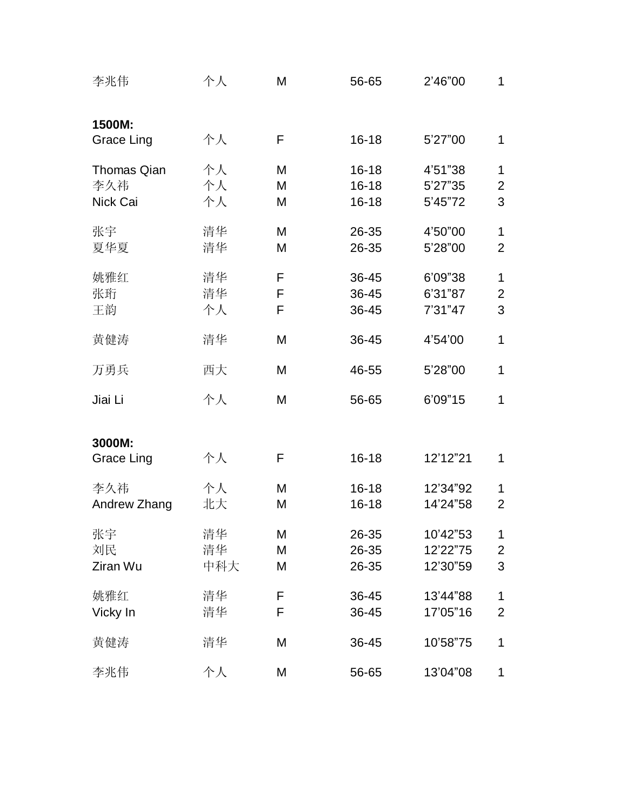| 李兆伟                                   | 个人              | M           | 56-65                               | 2'46"00                          | 1                                  |
|---------------------------------------|-----------------|-------------|-------------------------------------|----------------------------------|------------------------------------|
| 1500M:<br>Grace Ling                  | 个人              | F           | $16 - 18$                           | 5'27"00                          | 1                                  |
| <b>Thomas Qian</b><br>李久祎<br>Nick Cai | 个人<br>个人<br>个人  | M<br>M<br>M | $16 - 18$<br>$16 - 18$<br>$16 - 18$ | 4'51"38<br>5'27"35<br>5'45"72    | $\mathbf 1$<br>$\overline{2}$<br>3 |
| 张宇<br>夏华夏                             | 清华<br>清华        | M<br>M      | 26-35<br>26-35                      | 4'50"00<br>5'28"00               | $\mathbf 1$<br>$\overline{2}$      |
| 姚雅红<br>张珩<br>王韵                       | 清华<br>清华<br>个人  | F<br>F<br>F | 36-45<br>36-45<br>36-45             | 6'09"38<br>6'31"87<br>7'31"47    | $\mathbf 1$<br>$\overline{c}$<br>3 |
| 黄健涛                                   | 清华              | M           | 36-45                               | 4'54'00                          | 1                                  |
| 万勇兵                                   | 西大              | M           | 46-55                               | 5'28"00                          | 1                                  |
| Jiai Li                               | 个人              | M           | 56-65                               | 6'09"15                          | 1                                  |
| 3000M:<br>Grace Ling                  | 个人              | F           | $16 - 18$                           | 12'12"21                         | 1                                  |
| 李久祎<br>Andrew Zhang                   | 个人<br>北大        | M<br>M      | $16 - 18$<br>$16 - 18$              | 12'34"92<br>14'24"58             | 1<br>$\overline{2}$                |
| 张宇<br>刘民<br>Ziran Wu                  | 清华<br>清华<br>中科大 | M<br>M<br>M | 26-35<br>26-35<br>26-35             | 10'42"53<br>12'22"75<br>12'30"59 | 1<br>2<br>3                        |
| 姚雅红<br>Vicky In                       | 清华<br>清华        | F<br>F      | 36-45<br>36-45                      | 13'44"88<br>17'05"16             | 1<br>$\overline{2}$                |
| 黄健涛                                   | 清华              | M           | 36-45                               | 10'58"75                         | 1                                  |
| 李兆伟                                   | 个人              | M           | 56-65                               | 13'04"08                         | 1                                  |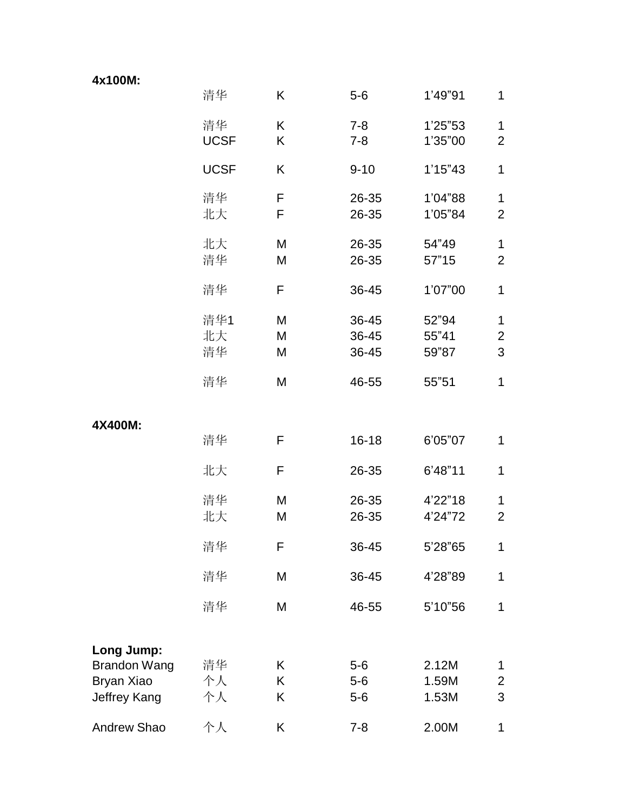| 4x100M: |  |  |
|---------|--|--|
|---------|--|--|

|                                                   | 清华                | K           | $5-6$                   | 1'49"91                 | 1                        |
|---------------------------------------------------|-------------------|-------------|-------------------------|-------------------------|--------------------------|
|                                                   | 清华<br><b>UCSF</b> | K<br>Κ      | $7 - 8$<br>$7 - 8$      | 1'25"53<br>1'35"00      | 1<br>$\overline{2}$      |
|                                                   | <b>UCSF</b>       | K           | $9 - 10$                | 1'15''43                | 1                        |
|                                                   | 清华<br>北大          | F<br>F      | 26-35<br>26-35          | 1'04"88<br>1'05"84      | 1<br>$\overline{2}$      |
|                                                   | 北大<br>清华          | M<br>M      | 26-35<br>26-35          | 54"49<br>57"15          | 1<br>$\overline{2}$      |
|                                                   | 清华                | F           | 36-45                   | 1'07"00                 | 1                        |
|                                                   | 清华1<br>北大<br>清华   | M<br>M<br>M | 36-45<br>36-45<br>36-45 | 52"94<br>55"41<br>59"87 | 1<br>$\overline{2}$<br>3 |
|                                                   | 清华                | M           | 46-55                   | 55"51                   | 1                        |
| 4X400M:                                           |                   |             |                         |                         |                          |
|                                                   | 清华                | F           | $16 - 18$               | 6'05"07                 | 1                        |
|                                                   | 北大                | F           | 26-35                   | 6'48"11                 | 1                        |
|                                                   | 清华<br>北大          | M<br>M      | 26-35<br>26-35          | 4'22"18<br>4'24"72      | 1<br>$\overline{2}$      |
|                                                   | 清华                | F           | 36-45                   | 5'28"65                 | 1                        |
|                                                   | 清华                | M           | 36-45                   | 4'28"89                 | 1                        |
|                                                   | 清华                | M           | 46-55                   | 5'10"56                 | 1                        |
| Long Jump:                                        |                   |             |                         |                         |                          |
| <b>Brandon Wang</b><br>Bryan Xiao<br>Jeffrey Kang | 清华<br>个人<br>个人    | K<br>K<br>K | $5-6$<br>$5-6$<br>$5-6$ | 2.12M<br>1.59M<br>1.53M | 1<br>$\overline{2}$<br>3 |
| Andrew Shao                                       | 个人                | K           | $7 - 8$                 | 2.00M                   | 1                        |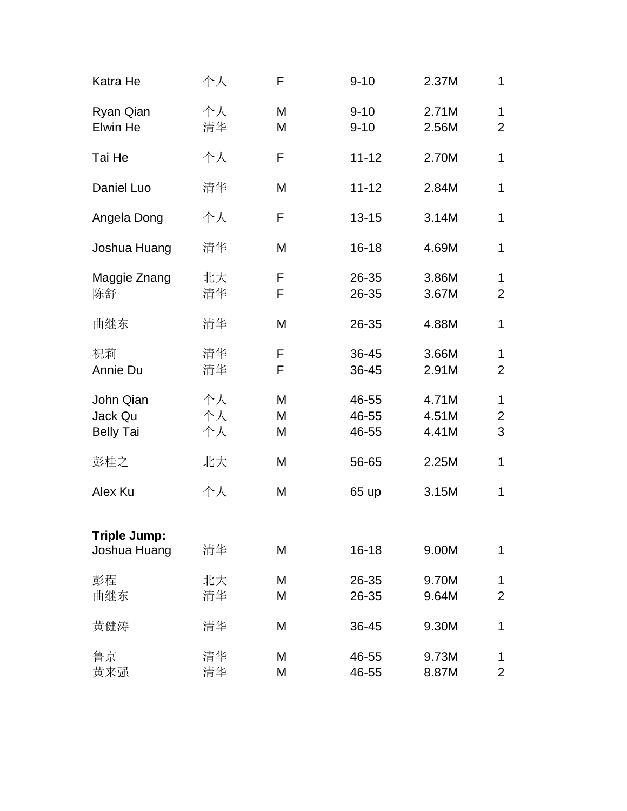| Katra He                                 | 个人             | F           | $9 - 10$                | 2.37M                   | 1                        |
|------------------------------------------|----------------|-------------|-------------------------|-------------------------|--------------------------|
| Ryan Qian<br>Elwin He                    | 个人<br>清华       | M<br>M      | $9 - 10$<br>$9 - 10$    | 2.71M<br>2.56M          | 1<br>$\overline{2}$      |
| Tai He                                   | 个人             | F           | $11 - 12$               | 2.70M                   | 1                        |
| Daniel Luo                               | 清华             | M           | $11 - 12$               | 2.84M                   | 1                        |
| Angela Dong                              | 个人             | F           | $13 - 15$               | 3.14M                   | 1                        |
| Joshua Huang                             | 清华             | M           | $16 - 18$               | 4.69M                   | 1                        |
| Maggie Znang<br>陈舒                       | 北大<br>清华       | F<br>F      | 26-35<br>26-35          | 3.86M<br>3.67M          | 1<br>$\overline{2}$      |
| 曲继东                                      | 清华             | M           | 26-35                   | 4.88M                   | 1                        |
| 祝莉<br>Annie Du                           | 清华<br>清华       | F<br>F      | 36-45<br>36-45          | 3.66M<br>2.91M          | 1<br>$\overline{2}$      |
| John Qian<br>Jack Qu<br><b>Belly Tai</b> | 个人<br>个人<br>个人 | M<br>M<br>M | 46-55<br>46-55<br>46-55 | 4.71M<br>4.51M<br>4.41M | 1<br>$\overline{2}$<br>3 |
| 彭桂之                                      | 北大             | M           | 56-65                   | 2.25M                   | 1                        |
| Alex Ku                                  | 个人             | M           | 65 up                   | 3.15M                   | 1                        |
| <b>Triple Jump:</b><br>Joshua Huang      | 清华             | M           | $16 - 18$               | 9.00M                   | 1                        |
| 彭程<br>曲继东                                | 北大<br>清华       | M<br>M      | 26-35<br>26-35          | 9.70M<br>9.64M          | 1<br>$\overline{2}$      |
| 黄健涛                                      | 清华             | M           | 36-45                   | 9.30M                   | 1                        |
| 鲁京<br>黄来强                                | 清华<br>清华       | M<br>M      | 46-55<br>46-55          | 9.73M<br>8.87M          | 1<br>$\overline{2}$      |